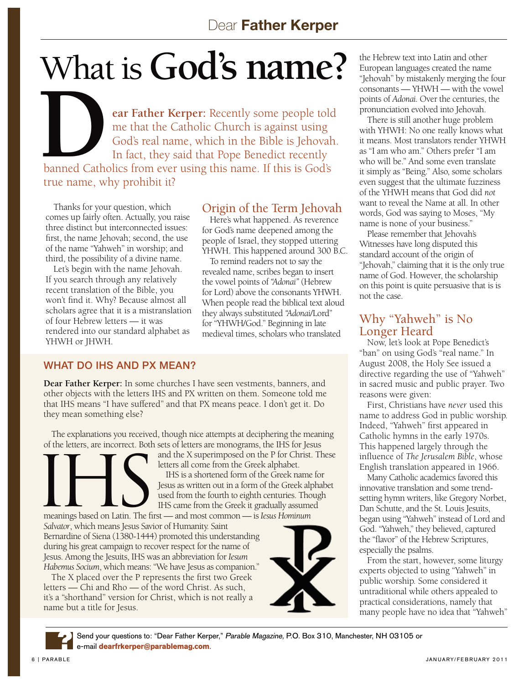# What is **God's name?**

**What is God's name:**<br>
ear Father Kerper: Recently some people told<br>
me that the Catholic Church is against using<br>
God's real name, which in the Bible is Jehovah.<br>
In fact, they said that Pope Benedict recently. me that the Catholic Church is against using God's real name, which in the Bible is Jehovah. In fact, they said that Pope Benedict recently banned Catholics from ever using this name. If this is God's true name, why prohibit it?

Thanks for your question, which comes up fairly often. Actually, you raise three distinct but interconnected issues: first, the name Jehovah; second, the use of the name "Yahweh" in worship; and third, the possibility of a divine name.

Let's begin with the name Jehovah. If you search through any relatively recent translation of the Bible, you won't find it. Why? Because almost all scholars agree that it is a mistranslation of four Hebrew letters — it was rendered into our standard alphabet as YHWH or JHWH.

#### Origin of the Term Jehovah

Here's what happened. As reverence for God's name deepened among the people of Israel, they stopped uttering YHWH. This happened around 300 B.C.

To remind readers not to say the revealed name, scribes began to insert the vowel points of *"Adonai"* (Hebrew for Lord) above the consonants YHWH. When people read the biblical text aloud they always substituted *"Adonai*/Lord" for "YHWH/God." Beginning in late medieval times, scholars who translated

#### WHAT DO IHS AND PX MEAN?

**Dear Father Kerper:** In some churches I have seen vestments, banners, and other objects with the letters IHS and PX written on them. Someone told me that IHS means "I have suffered" and that PX means peace. I don't get it. Do they mean something else?

The explanations you received, though nice attempts at deciphering the meaning



and the X superimposed on the P for Christ. These letters all come from the Greek alphabet.

IHS is a shortened form of the Greek name for Jesus as written out in a form of the Greek alphabet used from the fourth to eighth centuries. Though IHS came from the Greek it gradually assumed

meanings based on Latin. The first — and most common — is *Iesus Hominum Salvator*, which means Jesus Savior of Humanity. Saint Bernardine of Siena (1380-1444) promoted this understanding during his great campaign to recover respect for the name of Jesus. Among the Jesuits, IHS was an abbreviation for *Iesum Habemus Socium*, which means: "We have Jesus as companion."

The X placed over the P represents the first two Greek letters — Chi and Rho — of the word Christ. As such, it's a "shorthand" version for Christ, which is not really a name but a title for Jesus.



the Hebrew text into Latin and other European languages created the name "Jehovah" by mistakenly merging the four consonants — YHWH — with the vowel points of *Adonai.* Over the centuries, the pronunciation evolved into Jehovah.

There is still another huge problem with YHWH: No one really knows what it means. Most translators render YHWH as "I am who am." Others prefer "I am who will be." And some even translate it simply as "Being." Also, some scholars even suggest that the ultimate fuzziness of the YHWH means that God did *not*  want to reveal the Name at all. In other words, God was saying to Moses, "My name is none of your business."

Please remember that Jehovah's Witnesses have long disputed this standard account of the origin of "Jehovah," claiming that it is the only true name of God. However, the scholarship on this point is quite persuasive that is is not the case.

#### Why "Yahweh" is No Longer Heard

Now, let's look at Pope Benedict's "ban" on using God's "real name." In August 2008, the Holy See issued a directive regarding the use of "Yahweh" in sacred music and public prayer. Two reasons were given:

First, Christians have *never* used this name to address God in public worship. Indeed, "Yahweh" first appeared in Catholic hymns in the early 1970s. This happened largely through the influence of *The Jerusalem Bible*, whose English translation appeared in 1966.

Many Catholic academics favored this innovative translation and some trendsetting hymn writers, like Gregory Norbet, Dan Schutte, and the St. Louis Jesuits, began using "Yahweh" instead of Lord and God. "Yahweh," they believed, captured the "flavor" of the Hebrew Scriptures, especially the psalms.

From the start, however, some liturgy experts objected to using "Yahweh" in public worship. Some considered it untraditional while others appealed to practical considerations, namely that many people have no idea that "Yahweh"

Send your questions to: "Dear Father Kerper," Parable Magazine, P.O. Box 310, Manchester, NH 03105 or e-mail **dearfrkerper@parablemag.com**. ?